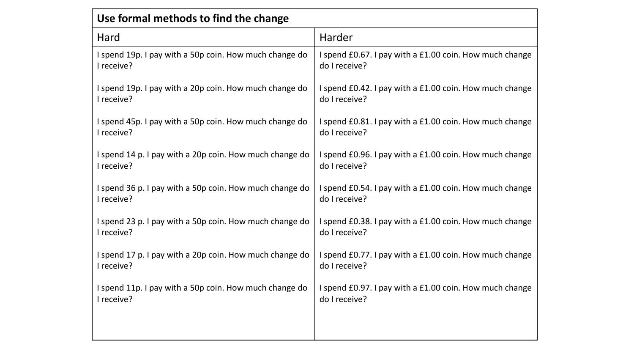| Use formal methods to find the change                   |                                                         |
|---------------------------------------------------------|---------------------------------------------------------|
| Hard                                                    | Harder                                                  |
| I spend 19p. I pay with a 50p coin. How much change do  | I spend £0.67. I pay with a £1.00 coin. How much change |
| I receive?                                              | do I receive?                                           |
| I spend 19p. I pay with a 20p coin. How much change do  | I spend £0.42. I pay with a £1.00 coin. How much change |
| I receive?                                              | do I receive?                                           |
| I spend 45p. I pay with a 50p coin. How much change do  | I spend £0.81. I pay with a £1.00 coin. How much change |
| I receive?                                              | do I receive?                                           |
| I spend 14 p. I pay with a 20p coin. How much change do | I spend £0.96. I pay with a £1.00 coin. How much change |
| I receive?                                              | do I receive?                                           |
| I spend 36 p. I pay with a 50p coin. How much change do | I spend £0.54. I pay with a £1.00 coin. How much change |
| I receive?                                              | do I receive?                                           |
| I spend 23 p. I pay with a 50p coin. How much change do | I spend £0.38. I pay with a £1.00 coin. How much change |
| I receive?                                              | do I receive?                                           |
| I spend 17 p. I pay with a 20p coin. How much change do | I spend £0.77. I pay with a £1.00 coin. How much change |
| I receive?                                              | do I receive?                                           |
| I spend 11p. I pay with a 50p coin. How much change do  | I spend £0.97. I pay with a £1.00 coin. How much change |
| I receive?                                              | do I receive?                                           |
|                                                         |                                                         |